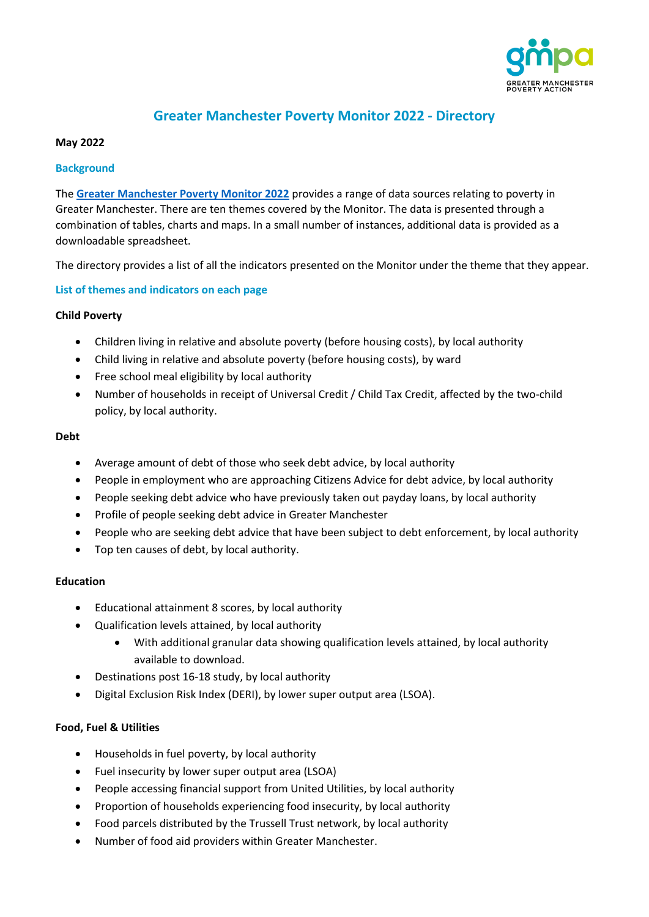

# **Greater Manchester Poverty Monitor 2022 - Directory**

#### **May 2022**

#### **Background**

The **[Greater Manchester Poverty Monitor 2022](https://www.gmpovertyaction.org/poverty-monitor-2022/)** provides a range of data sources relating to poverty in Greater Manchester. There are ten themes covered by the Monitor. The data is presented through a combination of tables, charts and maps. In a small number of instances, additional data is provided as a downloadable spreadsheet.

The directory provides a list of all the indicators presented on the Monitor under the theme that they appear.

## **List of themes and indicators on each page**

#### **Child Poverty**

- Children living in relative and absolute poverty (before housing costs), by local authority
- Child living in relative and absolute poverty (before housing costs), by ward
- Free school meal eligibility by local authority
- Number of households in receipt of Universal Credit / Child Tax Credit, affected by the two-child policy, by local authority.

#### **Debt**

- Average amount of debt of those who seek debt advice, by local authority
- People in employment who are approaching Citizens Advice for debt advice, by local authority
- People seeking debt advice who have previously taken out payday loans, by local authority
- Profile of people seeking debt advice in Greater Manchester
- People who are seeking debt advice that have been subject to debt enforcement, by local authority
- Top ten causes of debt, by local authority.

# **Education**

- Educational attainment 8 scores, by local authority
- Qualification levels attained, by local authority
	- With additional granular data showing qualification levels attained, by local authority available to download.
- Destinations post 16-18 study, by local authority
- Digital Exclusion Risk Index (DERI), by lower super output area (LSOA).

## **Food, Fuel & Utilities**

- Households in fuel poverty, by local authority
- Fuel insecurity by lower super output area (LSOA)
- People accessing financial support from United Utilities, by local authority
- Proportion of households experiencing food insecurity, by local authority
- Food parcels distributed by the Trussell Trust network, by local authority
- Number of food aid providers within Greater Manchester.